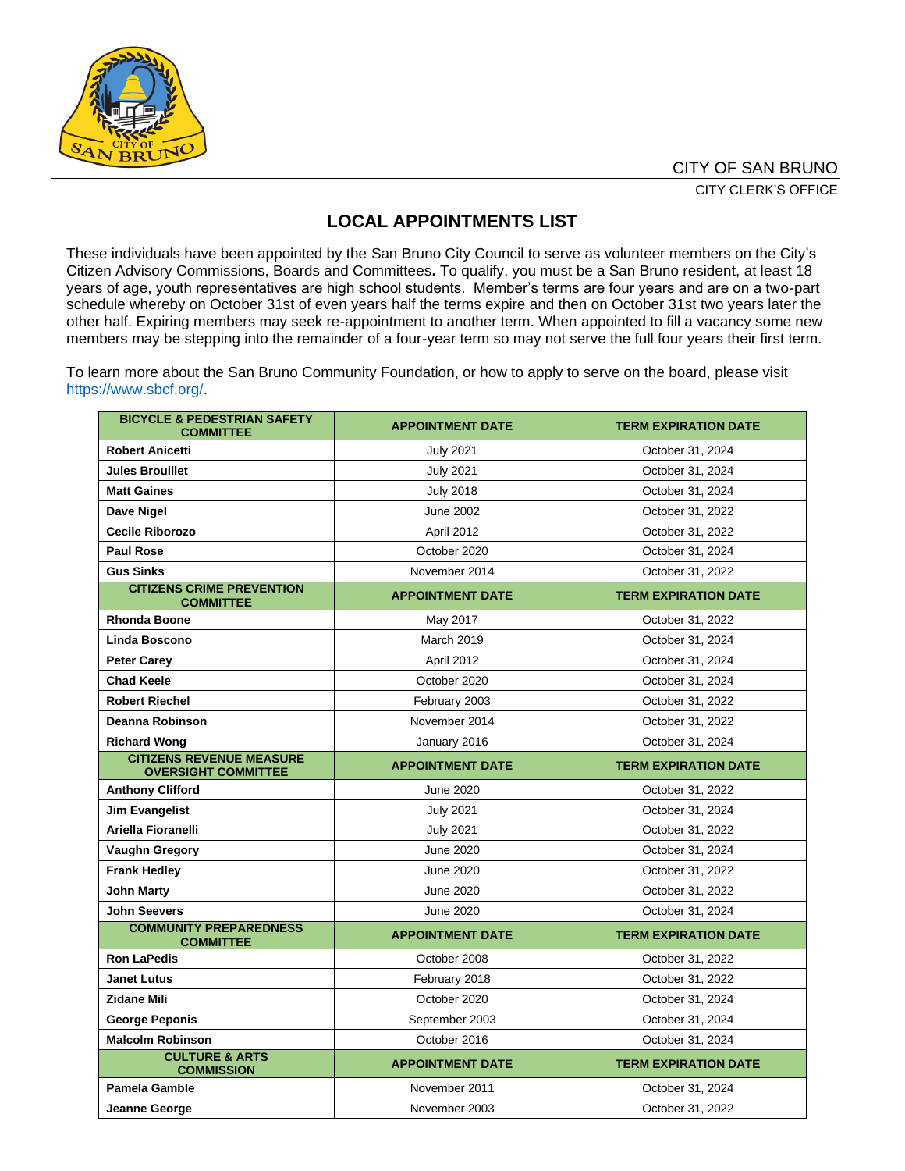

## **LOCAL APPOINTMENTS LIST**

These individuals have been appointed by the San Bruno City Council to serve as volunteer members on the City's Citizen Advisory Commissions, Boards and Committees**.** To qualify, you must be a San Bruno resident, at least 18 years of age, youth representatives are high school students. Member's terms are four years and are on a two-part schedule whereby on October 31st of even years half the terms expire and then on October 31st two years later the other half. Expiring members may seek re-appointment to another term. When appointed to fill a vacancy some new members may be stepping into the remainder of a four-year term so may not serve the full four years their first term.

To learn more about the San Bruno Community Foundation, or how to apply to serve on the board, please visit [https://www.sbcf.org/.](https://www.sbcf.org/)

| <b>BICYCLE &amp; PEDESTRIAN SAFETY</b><br><b>COMMITTEE</b>    | <b>APPOINTMENT DATE</b> | <b>TERM EXPIRATION DATE</b> |
|---------------------------------------------------------------|-------------------------|-----------------------------|
| <b>Robert Anicetti</b>                                        | <b>July 2021</b>        | October 31, 2024            |
| <b>Jules Brouillet</b>                                        | <b>July 2021</b>        | October 31, 2024            |
| <b>Matt Gaines</b>                                            | <b>July 2018</b>        | October 31, 2024            |
| Dave Nigel                                                    | <b>June 2002</b>        | October 31, 2022            |
| <b>Cecile Riborozo</b>                                        | April 2012              | October 31, 2022            |
| <b>Paul Rose</b>                                              | October 2020            | October 31, 2024            |
| <b>Gus Sinks</b>                                              | November 2014           | October 31, 2022            |
| <b>CITIZENS CRIME PREVENTION</b><br><b>COMMITTEE</b>          | <b>APPOINTMENT DATE</b> | <b>TERM EXPIRATION DATE</b> |
| <b>Rhonda Boone</b>                                           | May 2017                | October 31, 2022            |
| Linda Boscono                                                 | <b>March 2019</b>       | October 31, 2024            |
| <b>Peter Carev</b>                                            | April 2012              | October 31, 2024            |
| <b>Chad Keele</b>                                             | October 2020            | October 31, 2024            |
| <b>Robert Riechel</b>                                         | February 2003           | October 31, 2022            |
| Deanna Robinson                                               | November 2014           | October 31, 2022            |
| <b>Richard Wong</b>                                           | January 2016            | October 31, 2024            |
| <b>CITIZENS REVENUE MEASURE</b><br><b>OVERSIGHT COMMITTEE</b> | <b>APPOINTMENT DATE</b> | <b>TERM EXPIRATION DATE</b> |
| <b>Anthony Clifford</b>                                       | June 2020               | October 31, 2022            |
| Jim Evangelist                                                | <b>July 2021</b>        | October 31, 2024            |
| Ariella Fioranelli                                            | <b>July 2021</b>        | October 31, 2022            |
| <b>Vaughn Gregory</b>                                         | June 2020               | October 31, 2024            |
| <b>Frank Hedley</b>                                           | June 2020               | October 31, 2022            |
| <b>John Marty</b>                                             | June 2020               | October 31, 2022            |
| <b>John Seevers</b>                                           | June 2020               | October 31, 2024            |
| <b>COMMUNITY PREPAREDNESS</b><br><b>COMMITTEE</b>             | <b>APPOINTMENT DATE</b> | <b>TERM EXPIRATION DATE</b> |
| <b>Ron LaPedis</b>                                            | October 2008            | October 31, 2022            |
| <b>Janet Lutus</b>                                            | February 2018           | October 31, 2022            |
| <b>Zidane Mili</b>                                            | October 2020            | October 31, 2024            |
| <b>George Peponis</b>                                         | September 2003          | October 31, 2024            |
| <b>Malcolm Robinson</b>                                       | October 2016            | October 31, 2024            |
| <b>CULTURE &amp; ARTS</b><br><b>COMMISSION</b>                | <b>APPOINTMENT DATE</b> | <b>TERM EXPIRATION DATE</b> |
| <b>Pamela Gamble</b>                                          | November 2011           | October 31, 2024            |
| Jeanne George                                                 | November 2003           | October 31, 2022            |